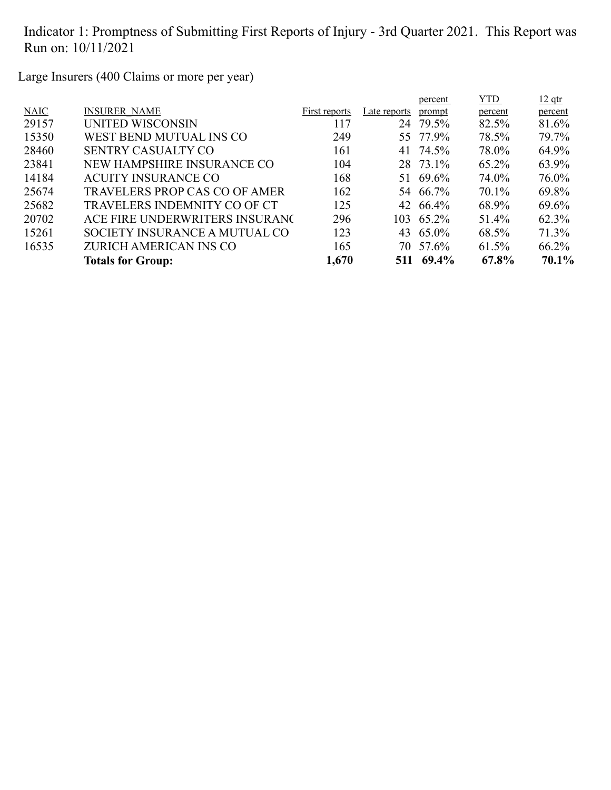Large Insurers (400 Claims or more per year)

|             |                                      |               |              | percent   | YTD     | $12$ qtr |
|-------------|--------------------------------------|---------------|--------------|-----------|---------|----------|
| <b>NAIC</b> | <b>INSURER NAME</b>                  | First reports | Late reports | prompt    | percent | percent  |
| 29157       | UNITED WISCONSIN                     | 117           |              | 24 79.5%  | 82.5%   | 81.6%    |
| 15350       | WEST BEND MUTUAL INS CO              | 249           |              | 55 77.9%  | 78.5%   | 79.7%    |
| 28460       | <b>SENTRY CASUALTY CO</b>            | 161           | 41           | 74.5%     | 78.0%   | 64.9%    |
| 23841       | NEW HAMPSHIRE INSURANCE CO           | 104           |              | 28 73.1%  | 65.2%   | 63.9%    |
| 14184       | <b>ACUITY INSURANCE CO</b>           | 168           | 51           | 69.6%     | 74.0%   | 76.0%    |
| 25674       | <b>TRAVELERS PROP CAS CO OF AMER</b> | 162           |              | 54 66.7%  | 70.1%   | 69.8%    |
| 25682       | TRAVELERS INDEMNITY CO OF CT         | 125           |              | 42 66.4%  | 68.9%   | 69.6%    |
| 20702       | ACE FIRE UNDERWRITERS INSURANC       | 296           |              | 103 65.2% | 51.4%   | 62.3%    |
| 15261       | SOCIETY INSURANCE A MUTUAL CO        | 123           |              | 43 65.0%  | 68.5%   | 71.3%    |
| 16535       | ZURICH AMERICAN INS CO               | 165           |              | 70 57.6%  | 61.5%   | 66.2%    |
|             | <b>Totals for Group:</b>             | 1,670         |              | 511 69.4% | 67.8%   | 70.1%    |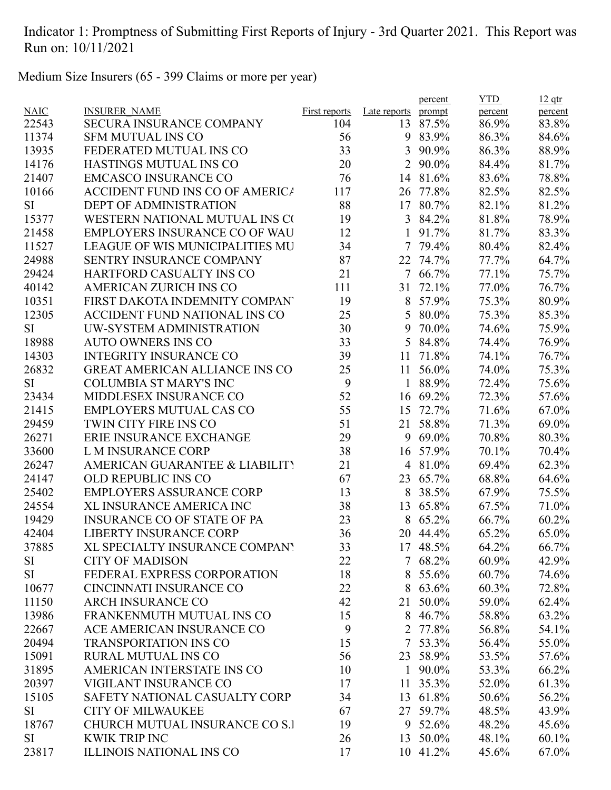Medium Size Insurers (65 - 399 Claims or more per year)

|             |                                        |                      |                | percent  | <b>YTD</b> | $12$ qtr |
|-------------|----------------------------------------|----------------------|----------------|----------|------------|----------|
| <b>NAIC</b> | <b>INSURER NAME</b>                    | <b>First reports</b> | Late reports   | prompt   | percent    | percent  |
| 22543       | <b>SECURA INSURANCE COMPANY</b>        | 104                  | 13             | 87.5%    | 86.9%      | 83.8%    |
| 11374       | <b>SFM MUTUAL INS CO</b>               | 56                   | 9              | 83.9%    | 86.3%      | 84.6%    |
| 13935       | FEDERATED MUTUAL INS CO                | 33                   | 3              | 90.9%    | 86.3%      | 88.9%    |
| 14176       | HASTINGS MUTUAL INS CO                 | 20                   | $\overline{2}$ | 90.0%    | 84.4%      | 81.7%    |
| 21407       | <b>EMCASCO INSURANCE CO</b>            | 76                   | 14             | 81.6%    | 83.6%      | 78.8%    |
| 10166       | <b>ACCIDENT FUND INS CO OF AMERICA</b> | 117                  | 26             | 77.8%    | 82.5%      | 82.5%    |
| SI          | <b>DEPT OF ADMINISTRATION</b>          | 88                   | 17             | 80.7%    | 82.1%      | 81.2%    |
| 15377       | WESTERN NATIONAL MUTUAL INS CO         | 19                   | $\overline{3}$ | 84.2%    | 81.8%      | 78.9%    |
| 21458       | <b>EMPLOYERS INSURANCE CO OF WAU</b>   | 12                   | 1              | 91.7%    | 81.7%      | 83.3%    |
| 11527       | <b>LEAGUE OF WIS MUNICIPALITIES MU</b> | 34                   | 7              | 79.4%    | 80.4%      | 82.4%    |
| 24988       | SENTRY INSURANCE COMPANY               | 87                   |                | 22 74.7% | 77.7%      | 64.7%    |
| 29424       | <b>HARTFORD CASUALTY INS CO</b>        | 21                   | $7^{\circ}$    | 66.7%    | 77.1%      | 75.7%    |
| 40142       | <b>AMERICAN ZURICH INS CO</b>          | 111                  | 31             | 72.1%    | 77.0%      | 76.7%    |
| 10351       | FIRST DAKOTA INDEMNITY COMPAN          | 19                   | 8              | 57.9%    | 75.3%      | 80.9%    |
| 12305       | <b>ACCIDENT FUND NATIONAL INS CO</b>   | 25                   | 5              | 80.0%    | 75.3%      | 85.3%    |
| <b>SI</b>   | UW-SYSTEM ADMINISTRATION               | 30                   | 9              | 70.0%    | 74.6%      | 75.9%    |
| 18988       | <b>AUTO OWNERS INS CO</b>              | 33                   | 5              | 84.8%    | 74.4%      | 76.9%    |
| 14303       | <b>INTEGRITY INSURANCE CO</b>          | 39                   | 11             | 71.8%    | 74.1%      | 76.7%    |
| 26832       | <b>GREAT AMERICAN ALLIANCE INS CO</b>  | 25                   | 11             | 56.0%    | 74.0%      | 75.3%    |
| <b>SI</b>   | <b>COLUMBIA ST MARY'S INC</b>          | 9                    | 1              | 88.9%    | 72.4%      | 75.6%    |
| 23434       | MIDDLESEX INSURANCE CO                 | 52                   | 16             | 69.2%    | 72.3%      | 57.6%    |
| 21415       | <b>EMPLOYERS MUTUAL CAS CO</b>         | 55                   | 15             | 72.7%    | 71.6%      | 67.0%    |
| 29459       | TWIN CITY FIRE INS CO                  | 51                   | 21             | 58.8%    | 71.3%      | 69.0%    |
| 26271       | <b>ERIE INSURANCE EXCHANGE</b>         | 29                   | 9              | 69.0%    | 70.8%      | 80.3%    |
| 33600       | L M INSURANCE CORP                     | 38                   | 16             | 57.9%    | 70.1%      | 70.4%    |
| 26247       | AMERICAN GUARANTEE & LIABILITY         | 21                   |                | 4 81.0%  | 69.4%      | 62.3%    |
| 24147       | <b>OLD REPUBLIC INS CO</b>             | 67                   | 23             | 65.7%    | 68.8%      | 64.6%    |
| 25402       | <b>EMPLOYERS ASSURANCE CORP</b>        | 13                   | 8              | 38.5%    | 67.9%      | 75.5%    |
| 24554       | <b>XL INSURANCE AMERICA INC</b>        | 38                   | 13             | 65.8%    | 67.5%      | 71.0%    |
| 19429       | <b>INSURANCE CO OF STATE OF PA</b>     | 23                   | 8              | 65.2%    | 66.7%      | 60.2%    |
| 42404       | <b>LIBERTY INSURANCE CORP</b>          | 36                   |                | 20 44.4% | 65.2%      | 65.0%    |
| 37885       | XL SPECIALTY INSURANCE COMPANY         | 33                   |                | 17 48.5% | 64.2%      | 66.7%    |
| SI          | <b>CITY OF MADISON</b>                 | 22                   |                | 7 68.2%  | 60.9%      | 42.9%    |
| SI          | FEDERAL EXPRESS CORPORATION            | 18                   | 8              | 55.6%    | 60.7%      | 74.6%    |
| 10677       | <b>CINCINNATI INSURANCE CO</b>         | 22                   |                | 8 63.6%  | 60.3%      | 72.8%    |
| 11150       | <b>ARCH INSURANCE CO</b>               | 42                   | 21             | 50.0%    | 59.0%      | 62.4%    |
| 13986       | FRANKENMUTH MUTUAL INS CO              | 15                   | 8              | 46.7%    | 58.8%      | 63.2%    |
| 22667       | ACE AMERICAN INSURANCE CO              | 9                    | $\overline{2}$ | 77.8%    | 56.8%      | 54.1%    |
|             | <b>TRANSPORTATION INS CO</b>           |                      |                | 53.3%    |            |          |
| 20494       | <b>RURAL MUTUAL INS CO</b>             | 15                   | 7              |          | 56.4%      | 55.0%    |
| 15091       |                                        | 56                   |                | 23 58.9% | 53.5%      | 57.6%    |
| 31895       | AMERICAN INTERSTATE INS CO             | 10                   | 1              | 90.0%    | 53.3%      | 66.2%    |
| 20397       | VIGILANT INSURANCE CO                  | 17                   | 11             | 35.3%    | 52.0%      | 61.3%    |
| 15105       | SAFETY NATIONAL CASUALTY CORP          | 34                   |                | 13 61.8% | 50.6%      | 56.2%    |
| SI          | <b>CITY OF MILWAUKEE</b>               | 67                   |                | 27 59.7% | 48.5%      | 43.9%    |
| 18767       | CHURCH MUTUAL INSURANCE CO S.I         | 19                   | 9              | 52.6%    | 48.2%      | 45.6%    |
| <b>SI</b>   | <b>KWIK TRIP INC</b>                   | 26                   | 13             | 50.0%    | 48.1%      | 60.1%    |
| 23817       | <b>ILLINOIS NATIONAL INS CO</b>        | 17                   |                | 10 41.2% | 45.6%      | 67.0%    |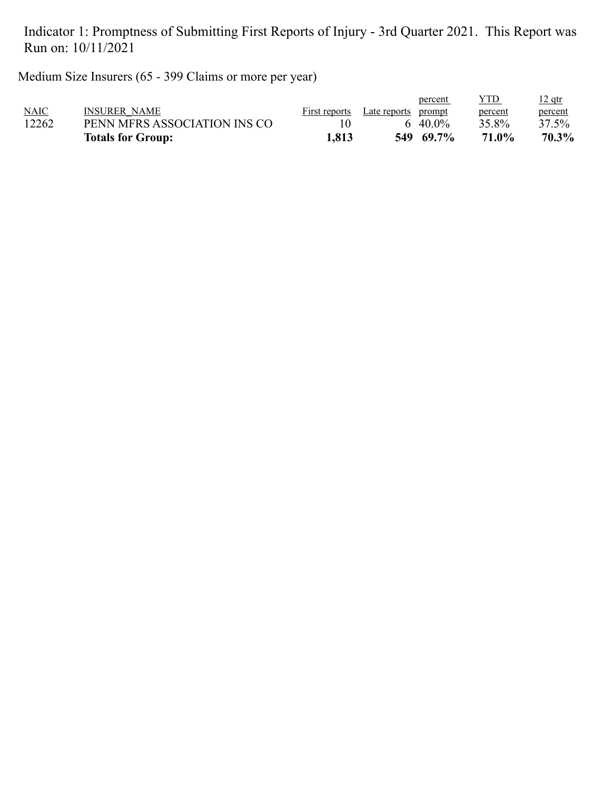Medium Size Insurers (65 - 399 Claims or more per year)

| NAIC<br>12262 | PENN MFRS ASSOCIATION INS CO |       | 40.0%     | 35.8% | percent<br>37.5% |
|---------------|------------------------------|-------|-----------|-------|------------------|
|               | <b>Totals for Group:</b>     | 1,813 | 549 69.7% | 71.0% | 70.3%            |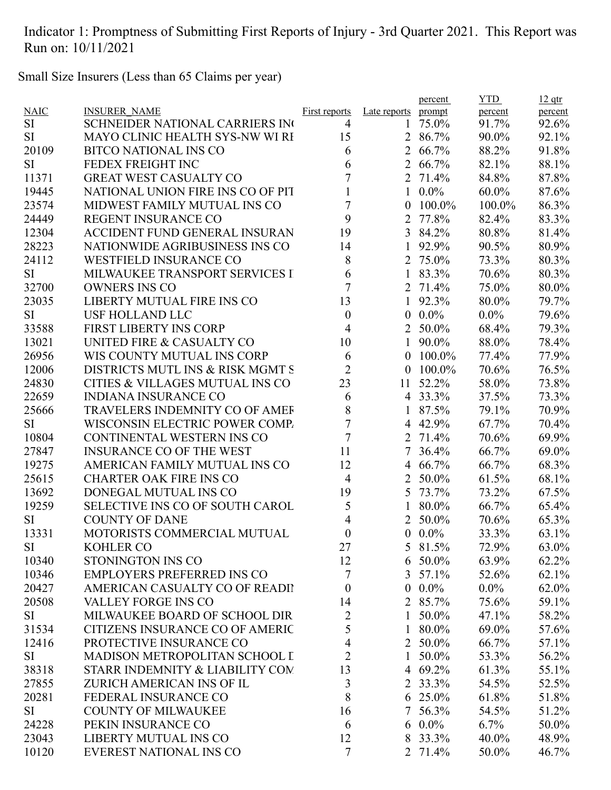Small Size Insurers (Less than 65 Claims per year)

|             |                                        |                      |                  | percent       | <b>YTD</b>       | $12$ qtr |
|-------------|----------------------------------------|----------------------|------------------|---------------|------------------|----------|
| <b>NAIC</b> | <b>INSURER NAME</b>                    | <b>First reports</b> | Late reports     | prompt        | percent          | percent  |
| SI          | <b>SCHNEIDER NATIONAL CARRIERS INC</b> | 4                    | 1                | 75.0%         | 91.7%            | 92.6%    |
| SI          | MAYO CLINIC HEALTH SYS-NW WI RI        | 15                   |                  | 2 86.7%       | 90.0%            | 92.1%    |
| 20109       | <b>BITCO NATIONAL INS CO</b>           | 6                    |                  | 2 66.7%       | 88.2%            | 91.8%    |
| <b>SI</b>   | FEDEX FREIGHT INC                      | 6                    | $\overline{2}$   | 66.7%         | 82.1%            | 88.1%    |
| 11371       | <b>GREAT WEST CASUALTY CO</b>          | 7                    |                  | 2 71.4%       | 84.8%            | 87.8%    |
| 19445       | NATIONAL UNION FIRE INS CO OF PIT      |                      | 1                | $0.0\%$       | 60.0%            | 87.6%    |
| 23574       | MIDWEST FAMILY MUTUAL INS CO           | 7                    | 0                | 100.0%        | 100.0%           | 86.3%    |
| 24449       | <b>REGENT INSURANCE CO</b>             | 9                    | $\overline{2}$   | 77.8%         | 82.4%            | 83.3%    |
| 12304       | <b>ACCIDENT FUND GENERAL INSURAN</b>   | 19                   |                  | 3 84.2%       | 80.8%            | 81.4%    |
| 28223       | NATIONWIDE AGRIBUSINESS INS CO         | 14                   | 1                | 92.9%         | 90.5%            | 80.9%    |
| 24112       | <b>WESTFIELD INSURANCE CO</b>          | 8                    | $\overline{2}$   | 75.0%         | 73.3%            | 80.3%    |
| <b>SI</b>   | MILWAUKEE TRANSPORT SERVICES I         | 6                    | 1                | 83.3%         | 70.6%            | 80.3%    |
| 32700       | <b>OWNERS INS CO</b>                   | 7                    | 2                | 71.4%         | 75.0%            | 80.0%    |
| 23035       | LIBERTY MUTUAL FIRE INS CO             | 13                   | 1                | 92.3%         | 80.0%            | 79.7%    |
| <b>SI</b>   | <b>USF HOLLAND LLC</b>                 | $\boldsymbol{0}$     | $\boldsymbol{0}$ | $0.0\%$       | $0.0\%$          | 79.6%    |
| 33588       | <b>FIRST LIBERTY INS CORP</b>          | $\overline{4}$       |                  | 2 50.0%       | 68.4%            | 79.3%    |
| 13021       | UNITED FIRE & CASUALTY CO              | 10                   |                  | 1 90.0%       | 88.0%            | 78.4%    |
| 26956       | WIS COUNTY MUTUAL INS CORP             | 6                    | $\overline{0}$   | 100.0%        | 77.4%            | 77.9%    |
| 12006       | DISTRICTS MUTL INS & RISK MGMT S       | $\overline{2}$       | 0                | 100.0%        | 70.6%            | 76.5%    |
| 24830       | CITIES & VILLAGES MUTUAL INS CO        | 23                   | 11               | 52.2%         | 58.0%            | 73.8%    |
| 22659       | <b>INDIANA INSURANCE CO</b>            | 6                    |                  | 4 33.3%       | 37.5%            | 73.3%    |
| 25666       | TRAVELERS INDEMNITY CO OF AMEF         | 8                    |                  | 87.5%         | 79.1%            | 70.9%    |
| <b>SI</b>   | WISCONSIN ELECTRIC POWER COMP.         | 7                    |                  | 4 42.9%       | 67.7%            | 70.4%    |
| 10804       | CONTINENTAL WESTERN INS CO             | $\overline{7}$       |                  | 2 71.4%       | 70.6%            | 69.9%    |
| 27847       | <b>INSURANCE CO OF THE WEST</b>        | 11                   | 7                | 36.4%         | 66.7%            | 69.0%    |
| 19275       | AMERICAN FAMILY MUTUAL INS CO          | 12                   | 4                | 66.7%         | 66.7%            | 68.3%    |
| 25615       | <b>CHARTER OAK FIRE INS CO</b>         | $\overline{4}$       | $\overline{2}$   | 50.0%         | 61.5%            | 68.1%    |
| 13692       | DONEGAL MUTUAL INS CO                  | 19                   |                  | 5 73.7%       | 73.2%            | 67.5%    |
| 19259       | SELECTIVE INS CO OF SOUTH CAROL        | 5                    |                  | 80.0%         | 66.7%            | 65.4%    |
| SI          | <b>COUNTY OF DANE</b>                  | 4                    |                  | 2 50.0%       | 70.6%            | 65.3%    |
| 13331       | MOTORISTS COMMERCIAL MUTUAL            | $\boldsymbol{0}$     |                  | $0.0\%$       | 33.3%            | 63.1%    |
| SI          | <b>KOHLER CO</b>                       | 27                   |                  | 5 81.5%       | 72.9%            | 63.0%    |
| 10340       | STONINGTON INS CO                      | 12                   | 6                | 50.0%         | 63.9%            | 62.2%    |
| 10346       | <b>EMPLOYERS PREFERRED INS CO</b>      | $\tau$               |                  | $3\;\;57.1\%$ |                  | 62.1%    |
| 20427       | AMERICAN CASUALTY CO OF READII         |                      |                  | $0.0\%$       | 52.6%<br>$0.0\%$ |          |
| 20508       |                                        | $\boldsymbol{0}$     | $\boldsymbol{0}$ |               |                  | 62.0%    |
|             | <b>VALLEY FORGE INS CO</b>             | 14                   | 2                | 85.7%         | 75.6%            | 59.1%    |
| SI          | MILWAUKEE BOARD OF SCHOOL DIR          | $\overline{2}$       | 1                | 50.0%         | 47.1%            | 58.2%    |
| 31534       | <b>CITIZENS INSURANCE CO OF AMERIC</b> | 5                    | $\mathbf{1}$     | 80.0%         | 69.0%            | 57.6%    |
| 12416       | PROTECTIVE INSURANCE CO                | 4                    |                  | 2 50.0%       | 66.7%            | 57.1%    |
| SI          | MADISON METROPOLITAN SCHOOL I          | $\overline{2}$       | 1                | 50.0%         | 53.3%            | 56.2%    |
| 38318       | STARR INDEMNITY & LIABILITY COM        | 13                   |                  | 4 69.2%       | 61.3%            | 55.1%    |
| 27855       | ZURICH AMERICAN INS OF IL              | 3                    |                  | 2 33.3%       | 54.5%            | 52.5%    |
| 20281       | FEDERAL INSURANCE CO                   | 8                    |                  | 6 25.0%       | 61.8%            | 51.8%    |
| SI          | <b>COUNTY OF MILWAUKEE</b>             | 16                   |                  | 7 56.3%       | 54.5%            | 51.2%    |
| 24228       | PEKIN INSURANCE CO                     | 6                    |                  | 6 $0.0\%$     | $6.7\%$          | 50.0%    |
| 23043       | <b>LIBERTY MUTUAL INS CO</b>           | 12                   | 8                | 33.3%         | 40.0%            | 48.9%    |
| 10120       | <b>EVEREST NATIONAL INS CO</b>         | $\tau$               |                  | 2 71.4%       | 50.0%            | 46.7%    |